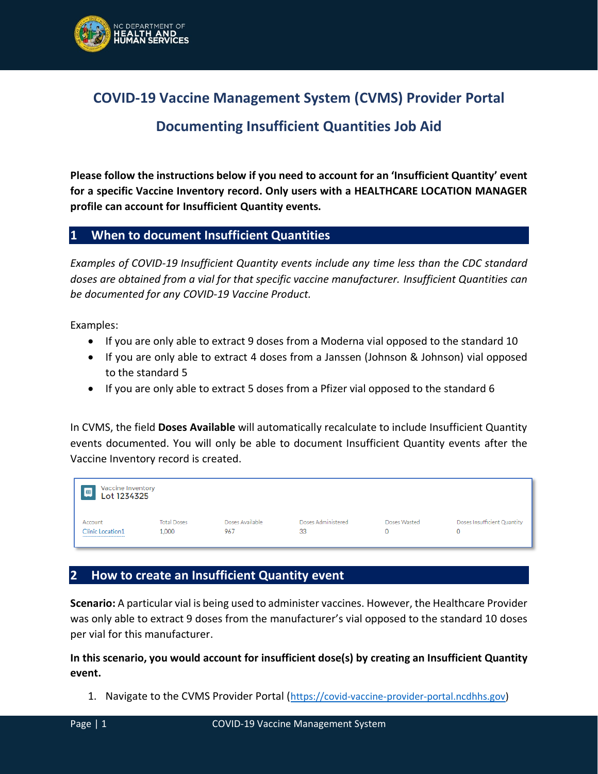

**COVID-19 Vaccine Management System (CVMS) Provider Portal**

## **Documenting Insufficient Quantities Job Aid**

**Please follow the instructions below if you need to account for an 'Insufficient Quantity' event for a specific Vaccine Inventory record. Only users with a HEALTHCARE LOCATION MANAGER profile can account for Insufficient Quantity events.**

## **1 When to document Insufficient Quantities**

*Examples of COVID-19 Insufficient Quantity events include any time less than the CDC standard doses are obtained from a vial for that specific vaccine manufacturer. Insufficient Quantities can be documented for any COVID-19 Vaccine Product.*

Examples:

- If you are only able to extract 9 doses from a Moderna vial opposed to the standard 10
- If you are only able to extract 4 doses from a Janssen (Johnson & Johnson) vial opposed to the standard 5
- If you are only able to extract 5 doses from a Pfizer vial opposed to the standard 6

In CVMS, the field **Doses Available** will automatically recalculate to include Insufficient Quantity events documented. You will only be able to document Insufficient Quantity events after the Vaccine Inventory record is created.

| Vaccine Inventory<br>画<br>Lot 1234325 |                    |                 |                    |              |                             |  |  |  |
|---------------------------------------|--------------------|-----------------|--------------------|--------------|-----------------------------|--|--|--|
| Account                               | <b>Total Doses</b> | Doses Available | Doses Administered | Doses Wasted | Doses Insufficient Quantity |  |  |  |
| <b>Clinic Location1</b>               | 1.000              | 967             | 33                 | Ω            |                             |  |  |  |

## **2 How to create an Insufficient Quantity event**

**Scenario:** A particular vial is being used to administer vaccines. However, the Healthcare Provider was only able to extract 9 doses from the manufacturer's vial opposed to the standard 10 doses per vial for this manufacturer.

**In this scenario, you would account for insufficient dose(s) by creating an Insufficient Quantity event.**

1. Navigate to the CVMS Provider Portal ([https://covid-vaccine-provider-portal.ncdhhs.gov\)](https://covid-vaccine-provider-portal.ncdhhs.gov/)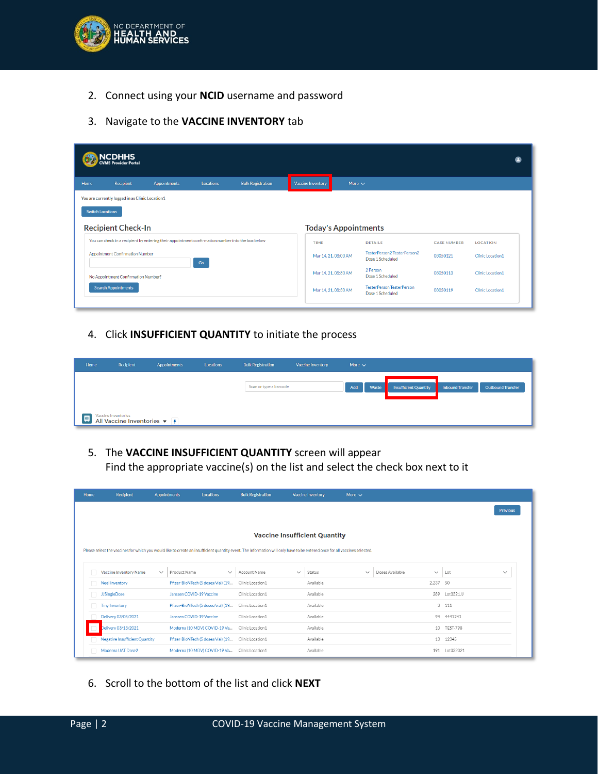

- 2. Connect using your **NCID** username and password
- 3. Navigate to the **VACCINE INVENTORY** tab

|      | <b>ACDHHS</b><br><b>CVMS Provider Portal</b>    |                                                                                                   |                  |                          |  |                             |             |                                                      |                    |                         | ø |
|------|-------------------------------------------------|---------------------------------------------------------------------------------------------------|------------------|--------------------------|--|-----------------------------|-------------|------------------------------------------------------|--------------------|-------------------------|---|
| Home | Recipient                                       | <b>Appointments</b>                                                                               | <b>Locations</b> | <b>Bulk Registration</b> |  | <b>Vaccine Inventory</b>    | More $\sim$ |                                                      |                    |                         |   |
|      | You are currently logged in as Clinic Location1 |                                                                                                   |                  |                          |  |                             |             |                                                      |                    |                         |   |
|      | <b>Switch Locations</b>                         |                                                                                                   |                  |                          |  |                             |             |                                                      |                    |                         |   |
|      | <b>Recipient Check-In</b>                       |                                                                                                   |                  |                          |  | <b>Today's Appointments</b> |             |                                                      |                    |                         |   |
|      |                                                 | You can check in a recipient by entering their appointment confirmation number into the box below |                  |                          |  | TIME                        |             | <b>DETAILS</b>                                       | <b>CASE NUMBER</b> | <b>LOCATION</b>         |   |
|      | <b>Appointment Confirmation Number</b><br>Go    |                                                                                                   |                  |                          |  | Mar 14, 21, 08:00 AM        |             | TesterPerson2 TesterPerson2<br>Dose 1 Scheduled      | 03050121           | <b>Clinic Location1</b> |   |
|      | No Appointment Confirmation Number?             |                                                                                                   |                  |                          |  | Mar 14, 21, 08:30 AM        |             | 2 Person<br>Dose 1 Scheduled                         | 03050113           | <b>Clinic Location1</b> |   |
|      | <b>Search Appointments</b>                      |                                                                                                   |                  |                          |  | Mar 14, 21, 08:30 AM        |             | <b>TesterPerson TesterPerson</b><br>Dose 1 Scheduled | 03050119           | Clinic Location1        |   |
|      |                                                 |                                                                                                   |                  |                          |  |                             |             |                                                      |                    |                         |   |

4. Click **INSUFFICIENT QUANTITY** to initiate the process

| Home | Recipient                                                  | <b>Appointments</b> | Locations | <b>Bulk Registration</b> | <b>Vaccine Inventory</b> | More $\vee$ |       |                              |                         |                          |
|------|------------------------------------------------------------|---------------------|-----------|--------------------------|--------------------------|-------------|-------|------------------------------|-------------------------|--------------------------|
|      |                                                            |                     |           | Scan or type a barcode   |                          | Add         | Waste | <b>Insufficient Quantity</b> | <b>Inbound Transfer</b> | <b>Outbound Transfer</b> |
|      |                                                            |                     |           |                          |                          |             |       |                              |                         |                          |
|      | Vaccine Inventories                                        |                     |           |                          |                          |             |       |                              |                         |                          |
| 四    | All Vaccine Inventories $\blacktriangledown$ $\frac{1}{2}$ |                     |           |                          |                          |             |       |                              |                         |                          |

5. The **VACCINE INSUFFICIENT QUANTITY** screen will appear Find the appropriate vaccine(s) on the list and select the check box next to it

| Home | Recipient                             | <b>Appointments</b><br><b>Locations</b>                                                                                                                                    | <b>Bulk Registration</b> |              | <b>Vaccine Inventory</b> | More $\sim$  |                                 |                 |                 |  |  |  |
|------|---------------------------------------|----------------------------------------------------------------------------------------------------------------------------------------------------------------------------|--------------------------|--------------|--------------------------|--------------|---------------------------------|-----------------|-----------------|--|--|--|
|      |                                       |                                                                                                                                                                            |                          |              |                          |              |                                 |                 | <b>Previous</b> |  |  |  |
|      |                                       |                                                                                                                                                                            |                          |              |                          |              |                                 |                 |                 |  |  |  |
|      | <b>Vaccine Insufficient Quantity</b>  |                                                                                                                                                                            |                          |              |                          |              |                                 |                 |                 |  |  |  |
|      |                                       | Please select the vaccines for which you would like to create an insufficient quantity event. The information will only have to be entered once for all vaccines selected. |                          |              |                          |              |                                 |                 |                 |  |  |  |
|      |                                       |                                                                                                                                                                            |                          |              |                          |              |                                 |                 |                 |  |  |  |
|      | <b>Vaccine Inventory Name</b>         | Product Name<br>$\checkmark$<br>$\checkmark$                                                                                                                               | Account Name             | $\checkmark$ | Status                   | $\checkmark$ | Doses Available<br>$\checkmark$ | Lot             | $\checkmark$    |  |  |  |
|      | Neel Inventory                        | Pfizer-BioNTech (5 doses/vial) (19                                                                                                                                         | Clinic Location1         |              | Available                |              | 2.237                           | 50              |                 |  |  |  |
|      | <b>JJSingleDose</b>                   | Janssen COVID-19 Vaccine                                                                                                                                                   | Clinic Location1         |              | Available                |              | 289                             | Lot3321JJ       |                 |  |  |  |
|      | <b>Tiny Inventory</b>                 | Pfizer-BioNTech (5 doses/vial) (19                                                                                                                                         | Clinic Location1         |              | Available                |              |                                 | 3, 111          |                 |  |  |  |
|      | Delivery 03/05/2021                   | Janssen COVID-19 Vaccine                                                                                                                                                   | Clinic Location1         |              | Available                |              |                                 | 94 4441241      |                 |  |  |  |
|      | Delivery 03/13/2021                   | Moderna (10 MDV) COVID-19 Va                                                                                                                                               | Clinic Location1         |              | Available                |              | 10                              | <b>TEST-798</b> |                 |  |  |  |
|      | <b>Negative Insufficient Quantity</b> | Pfizer-BioNTech (5 doses/vial) (19                                                                                                                                         | Clinic Location1         |              | Available                |              | 13                              | 12345           |                 |  |  |  |
|      | Moderna UAT Dose2                     | Moderna (10 MDV) COVID-19 Va                                                                                                                                               | Clinic Location1         |              | Available                |              | 191                             | Lot332021       |                 |  |  |  |

6. Scroll to the bottom of the list and click **NEXT**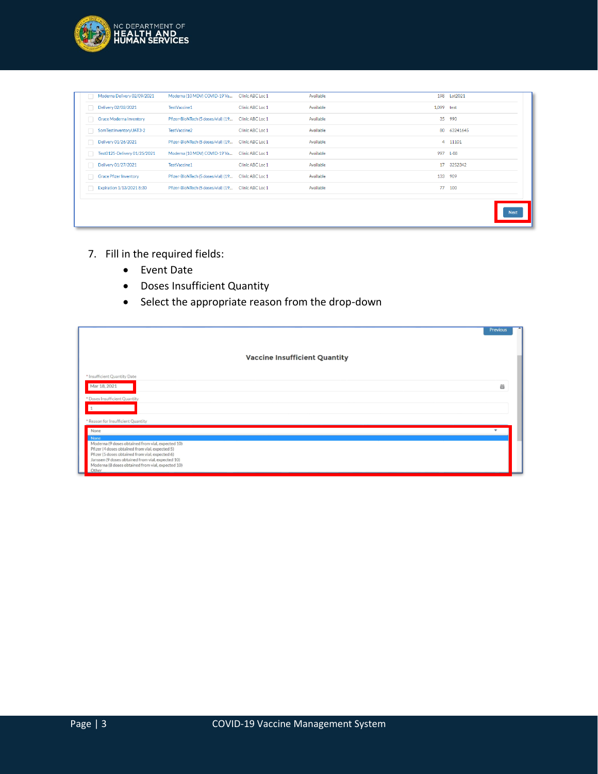

|  | Moderna Delivery 02/09/2021   | Moderna (10 MDV) COVID-19 Va       | Clinic ABC Loc 1 | Available | 198 Lot2021    |             |
|--|-------------------------------|------------------------------------|------------------|-----------|----------------|-------------|
|  | Delivery 02/02/2021           | TestVaccine1                       | Clinic ABC Loc 1 | Available | 1,099 test     |             |
|  | Grace Moderna Inventory       | Pfizer-BioNTech (5 doses/vial) (19 | Clinic ABC Loc 1 | Available | 35<br>990      |             |
|  | SomTestInventoryUAT3-2        | TestVaccine2                       | Clinic ABC Loc 1 | Available | 80<br>63241645 |             |
|  | Delivery 01/26/2021           | Pfizer-BioNTech (5 doses/vial) (19 | Clinic ABC Loc 1 | Available | 4 11101        |             |
|  | Test0125-Delivery 01/25/2021  | Moderna (10 MDV) COVID-19 Va       | Clinic ABC Loc 1 | Available | 997 L-88       |             |
|  | Delivery 01/27/2021           | TestVaccine1                       | Clinic ABC Loc 1 | Available | 3252342<br>17  |             |
|  | <b>Grace Pfizer Inventory</b> | Pfizer-BioNTech (5 doses/vial) (19 | Clinic ABC Loc 1 | Available | 909<br>133     |             |
|  | Expiration 1/13/2021 8:30     | Pfizer-BioNTech (5 doses/vial) (19 | Clinic ABC Loc 1 | Available | 77<br>100      |             |
|  |                               |                                    |                  |           |                | <b>Next</b> |

- 7. Fill in the required fields:
	- Event Date
	- Doses Insufficient Quantity
	- Select the appropriate reason from the drop-down

|                                                                                                                                                           | Previous                 |
|-----------------------------------------------------------------------------------------------------------------------------------------------------------|--------------------------|
|                                                                                                                                                           |                          |
| <b>Vaccine Insufficient Quantity</b>                                                                                                                      |                          |
| * Insufficient Quantity Date                                                                                                                              |                          |
| Mar 18, 2021                                                                                                                                              | 茴                        |
| * Doses Insufficient Quantity                                                                                                                             |                          |
|                                                                                                                                                           |                          |
| * Reason for Insufficient Quantity                                                                                                                        |                          |
| None<br><b>None</b>                                                                                                                                       | $\overline{\phantom{a}}$ |
| Moderna (9 doses obtained from vial, expected 10)<br>Pfizer (4 doses obtained from vial, expected 5)                                                      |                          |
| Pfizer (5 doses obtained from vial, expected 6)<br>Janssen (9 doses obtained from vial, expected 10)<br>Moderna (8 doses obtained from vial, expected 10) |                          |
| Other                                                                                                                                                     |                          |